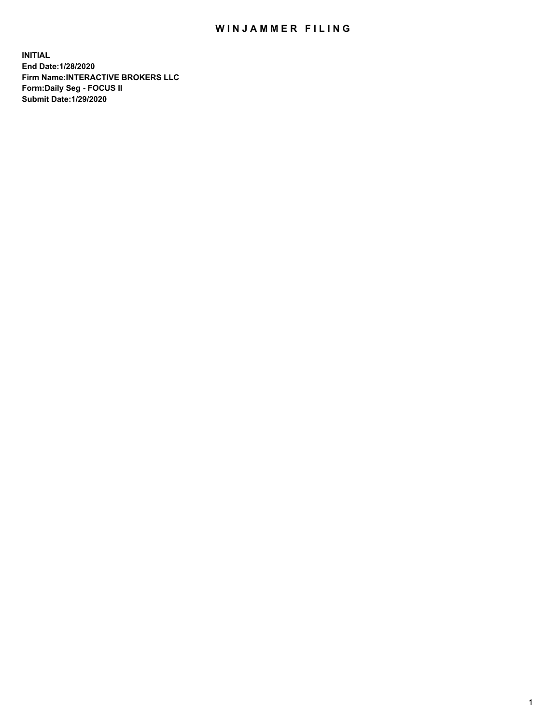## WIN JAMMER FILING

**INITIAL End Date:1/28/2020 Firm Name:INTERACTIVE BROKERS LLC Form:Daily Seg - FOCUS II Submit Date:1/29/2020**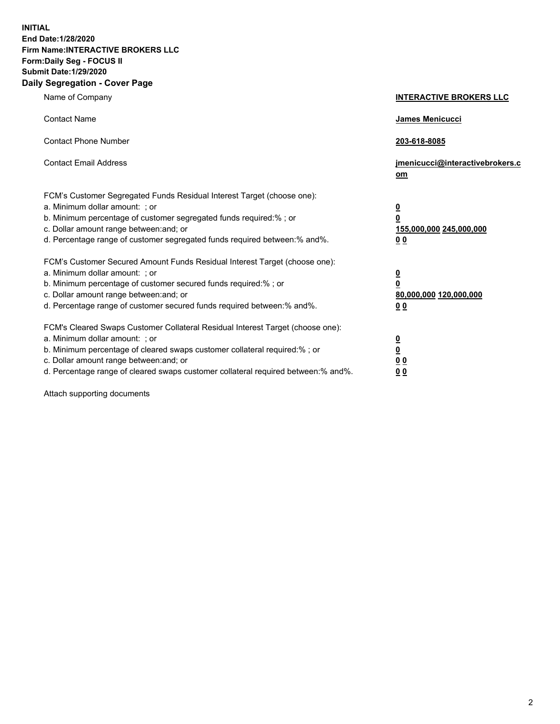**INITIAL End Date:1/28/2020 Firm Name:INTERACTIVE BROKERS LLC Form:Daily Seg - FOCUS II Submit Date:1/29/2020 Daily Segregation - Cover Page**

| Name of Company                                                                                                                                                                                                                                                                                                                 | <b>INTERACTIVE BROKERS LLC</b>                                                   |
|---------------------------------------------------------------------------------------------------------------------------------------------------------------------------------------------------------------------------------------------------------------------------------------------------------------------------------|----------------------------------------------------------------------------------|
| <b>Contact Name</b>                                                                                                                                                                                                                                                                                                             | <b>James Menicucci</b>                                                           |
| <b>Contact Phone Number</b>                                                                                                                                                                                                                                                                                                     | 203-618-8085                                                                     |
| <b>Contact Email Address</b>                                                                                                                                                                                                                                                                                                    | jmenicucci@interactivebrokers.c<br>om                                            |
| FCM's Customer Segregated Funds Residual Interest Target (choose one):<br>a. Minimum dollar amount: ; or<br>b. Minimum percentage of customer segregated funds required:% ; or<br>c. Dollar amount range between: and; or<br>d. Percentage range of customer segregated funds required between:% and%.                          | <u>0</u><br>$\overline{\mathbf{0}}$<br>155,000,000 245,000,000<br>0 <sub>0</sub> |
| FCM's Customer Secured Amount Funds Residual Interest Target (choose one):<br>a. Minimum dollar amount: ; or<br>b. Minimum percentage of customer secured funds required:%; or<br>c. Dollar amount range between: and; or<br>d. Percentage range of customer secured funds required between:% and%.                             | <u>0</u><br>$\overline{\mathbf{0}}$<br>80,000,000 120,000,000<br>0 <sub>0</sub>  |
| FCM's Cleared Swaps Customer Collateral Residual Interest Target (choose one):<br>a. Minimum dollar amount: ; or<br>b. Minimum percentage of cleared swaps customer collateral required:%; or<br>c. Dollar amount range between: and; or<br>d. Percentage range of cleared swaps customer collateral required between: % and %. | <u>0</u><br>$\underline{\mathbf{0}}$<br>0 <sub>0</sub><br>0 <sub>0</sub>         |

Attach supporting documents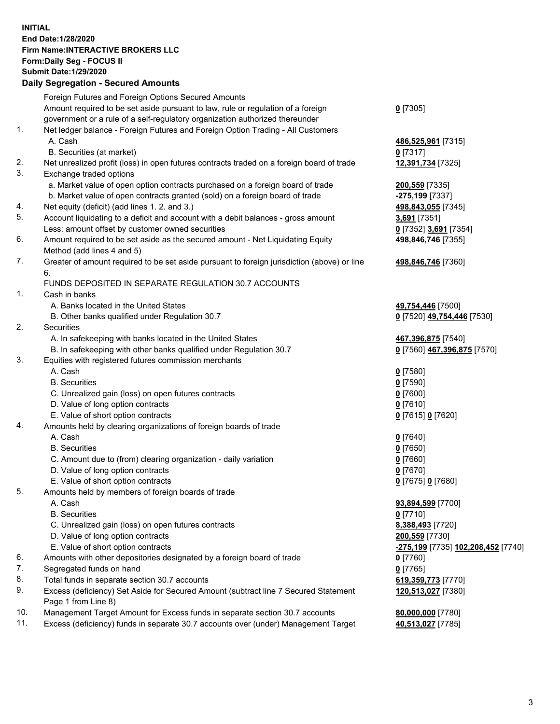**INITIAL End Date:1/28/2020 Firm Name:INTERACTIVE BROKERS LLC Form:Daily Seg - FOCUS II Submit Date:1/29/2020 Daily Segregation - Secured Amounts**

|     | Pany Ocgi cganon - Occarca Anioanta                                                         |                                           |
|-----|---------------------------------------------------------------------------------------------|-------------------------------------------|
|     | Foreign Futures and Foreign Options Secured Amounts                                         |                                           |
|     | Amount required to be set aside pursuant to law, rule or regulation of a foreign            | $0$ [7305]                                |
|     | government or a rule of a self-regulatory organization authorized thereunder                |                                           |
| 1.  | Net ledger balance - Foreign Futures and Foreign Option Trading - All Customers             |                                           |
|     | A. Cash                                                                                     | 486,525,961 [7315]                        |
|     | B. Securities (at market)                                                                   | 0 [7317]                                  |
| 2.  | Net unrealized profit (loss) in open futures contracts traded on a foreign board of trade   | 12,391,734 [7325]                         |
| 3.  | Exchange traded options                                                                     |                                           |
|     | a. Market value of open option contracts purchased on a foreign board of trade              | 200,559 [7335]                            |
|     | b. Market value of open contracts granted (sold) on a foreign board of trade                | -275,199 [7337]                           |
| 4.  | Net equity (deficit) (add lines 1.2. and 3.)                                                | 498,843,055 [7345]                        |
| 5.  | Account liquidating to a deficit and account with a debit balances - gross amount           | 3,691 [7351]                              |
|     | Less: amount offset by customer owned securities                                            | 0 [7352] 3,691 [7354]                     |
| 6.  | Amount required to be set aside as the secured amount - Net Liquidating Equity              | 498,846,746 [7355]                        |
|     | Method (add lines 4 and 5)                                                                  |                                           |
| 7.  | Greater of amount required to be set aside pursuant to foreign jurisdiction (above) or line | 498,846,746 [7360]                        |
|     | 6.                                                                                          |                                           |
|     | FUNDS DEPOSITED IN SEPARATE REGULATION 30.7 ACCOUNTS                                        |                                           |
| 1.  | Cash in banks                                                                               |                                           |
|     | A. Banks located in the United States                                                       | 49,754,446 [7500]                         |
|     | B. Other banks qualified under Regulation 30.7                                              | 0 [7520] 49,754,446 [7530]                |
| 2.  | Securities                                                                                  |                                           |
|     | A. In safekeeping with banks located in the United States                                   | 467,396,875 [7540]                        |
|     | B. In safekeeping with other banks qualified under Regulation 30.7                          | 0 [7560] 467,396,875 [7570]               |
| 3.  | Equities with registered futures commission merchants                                       |                                           |
|     | A. Cash                                                                                     | $0$ [7580]                                |
|     | <b>B.</b> Securities                                                                        | $0$ [7590]                                |
|     | C. Unrealized gain (loss) on open futures contracts                                         | $0$ [7600]                                |
|     | D. Value of long option contracts                                                           | $0$ [7610]                                |
|     | E. Value of short option contracts                                                          | 0 [7615] 0 [7620]                         |
| 4.  | Amounts held by clearing organizations of foreign boards of trade                           |                                           |
|     | A. Cash                                                                                     | $0$ [7640]                                |
|     | <b>B.</b> Securities                                                                        | $0$ [7650]                                |
|     | C. Amount due to (from) clearing organization - daily variation                             | $0$ [7660]                                |
|     | D. Value of long option contracts                                                           | $0$ [7670]                                |
|     | E. Value of short option contracts                                                          | 0 [7675] 0 [7680]                         |
| 5.  | Amounts held by members of foreign boards of trade                                          |                                           |
|     | A. Cash                                                                                     | 93,894,599 [7700]                         |
|     | <b>B.</b> Securities                                                                        | $0$ [7710]                                |
|     | C. Unrealized gain (loss) on open futures contracts                                         | 8,388,493 [7720]                          |
|     | D. Value of long option contracts                                                           | 200,559 [7730]                            |
|     | E. Value of short option contracts                                                          | <u>-275,199</u> [7735] 102,208,452 [7740] |
| 6.  | Amounts with other depositories designated by a foreign board of trade                      | $0$ [7760]                                |
| 7.  | Segregated funds on hand                                                                    | $0$ [7765]                                |
| 8.  | Total funds in separate section 30.7 accounts                                               | 619,359,773 [7770]                        |
| 9.  | Excess (deficiency) Set Aside for Secured Amount (subtract line 7 Secured Statement         | 120,513,027 [7380]                        |
|     | Page 1 from Line 8)                                                                         |                                           |
| 10. | Management Target Amount for Excess funds in separate section 30.7 accounts                 | 80,000,000 [7780]                         |
| 11. | Excess (deficiency) funds in separate 30.7 accounts over (under) Management Target          | 40,513,027 [7785]                         |
|     |                                                                                             |                                           |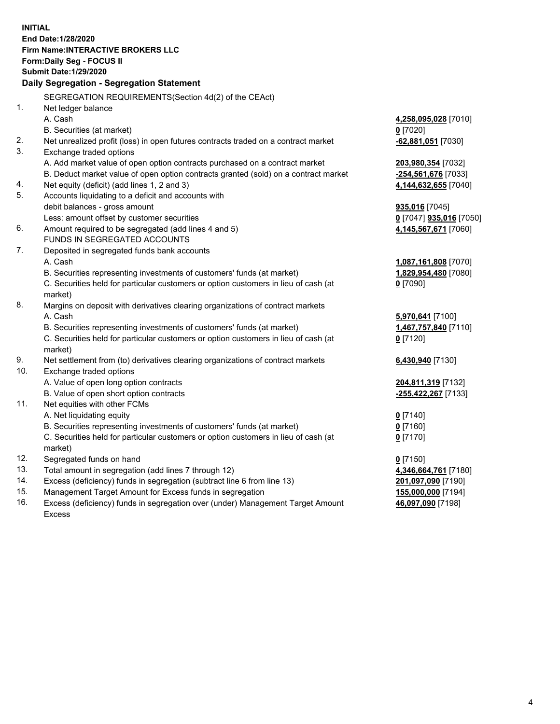**INITIAL End Date:1/28/2020 Firm Name:INTERACTIVE BROKERS LLC Form:Daily Seg - FOCUS II Submit Date:1/29/2020 Daily Segregation - Segregation Statement** SEGREGATION REQUIREMENTS(Section 4d(2) of the CEAct) 1. Net ledger balance A. Cash **4,258,095,028** [7010] B. Securities (at market) **0** [7020] 2. Net unrealized profit (loss) in open futures contracts traded on a contract market **-62,881,051** [7030] 3. Exchange traded options A. Add market value of open option contracts purchased on a contract market **203,980,354** [7032] B. Deduct market value of open option contracts granted (sold) on a contract market **-254,561,676** [7033] 4. Net equity (deficit) (add lines 1, 2 and 3) **4,144,632,655** [7040] 5. Accounts liquidating to a deficit and accounts with debit balances - gross amount **935,016** [7045] Less: amount offset by customer securities **0** [7047] **935,016** [7050] 6. Amount required to be segregated (add lines 4 and 5) **4,145,567,671** [7060] FUNDS IN SEGREGATED ACCOUNTS 7. Deposited in segregated funds bank accounts A. Cash **1,087,161,808** [7070] B. Securities representing investments of customers' funds (at market) **1,829,954,480** [7080] C. Securities held for particular customers or option customers in lieu of cash (at market) **0** [7090] 8. Margins on deposit with derivatives clearing organizations of contract markets A. Cash **5,970,641** [7100] B. Securities representing investments of customers' funds (at market) **1,467,757,840** [7110] C. Securities held for particular customers or option customers in lieu of cash (at market) **0** [7120] 9. Net settlement from (to) derivatives clearing organizations of contract markets **6,430,940** [7130] 10. Exchange traded options A. Value of open long option contracts **204,811,319** [7132] B. Value of open short option contracts **-255,422,267** [7133] 11. Net equities with other FCMs A. Net liquidating equity **0** [7140] B. Securities representing investments of customers' funds (at market) **0** [7160] C. Securities held for particular customers or option customers in lieu of cash (at market) **0** [7170] 12. Segregated funds on hand **0** [7150] 13. Total amount in segregation (add lines 7 through 12) **4,346,664,761** [7180] 14. Excess (deficiency) funds in segregation (subtract line 6 from line 13) **201,097,090** [7190] 15. Management Target Amount for Excess funds in segregation **155,000,000** [7194]

16. Excess (deficiency) funds in segregation over (under) Management Target Amount Excess

**46,097,090** [7198]